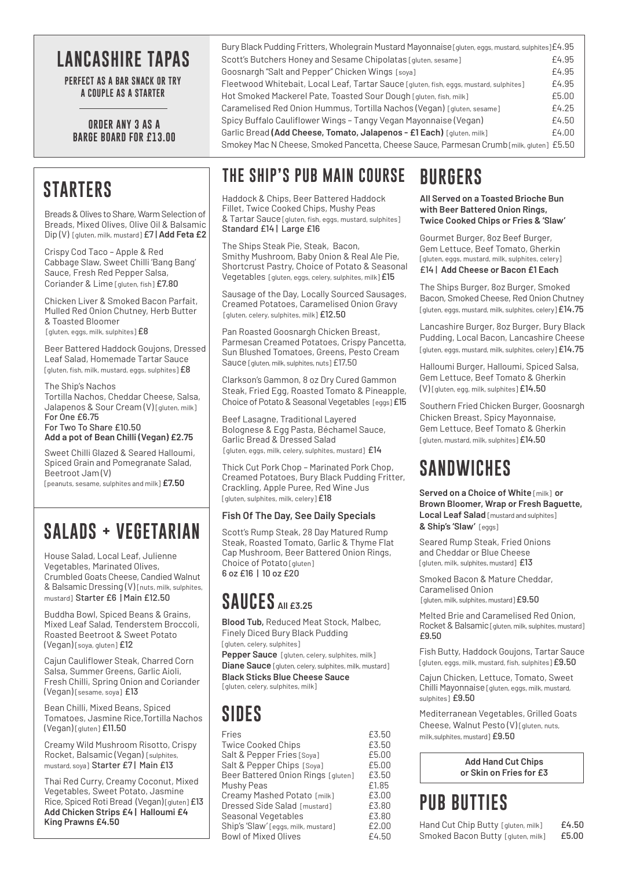## **LANCASHIRE TAPAS**

**PERFECT AS A BAR SNACK OR TRY A COUPLE AS A STARTER**

#### **ORDER ANY 3 AS A BARGE BOARD FOR £13.00**

### **STARTERS**

Breads & Olives to Share, Warm Selection of Breads, Mixed Olives, Olive Oil & Balsamic Dip (V) [gluten, milk, mustard] £7 | **Add Feta £2**

Crispy Cod Taco – Apple & Red Cabbage Slaw, Sweet Chilli 'Bang Bang' Sauce, Fresh Red Pepper Salsa, Coriander & Lime [gluten, fish] £7.80

Chicken Liver & Smoked Bacon Parfait, Mulled Red Onion Chutney, Herb Butter & Toasted Bloomer [gluten, eggs, milk, sulphites] £8

Beer Battered Haddock Goujons, Dressed Leaf Salad, Homemade Tartar Sauce [gluten, fish, milk, mustard, eggs, sulphites]  $£8$ 

The Ship's Nachos Tortilla Nachos, Cheddar Cheese, Salsa, Jalapenos & Sour Cream (V) [gluten, milk] For One £6.75 For Two To Share £10.50 **Add a pot of Bean Chilli (Vegan) £2.75**

Sweet Chilli Glazed & Seared Halloumi, Spiced Grain and Pomegranate Salad, Beetroot Jam (V)

[peanuts, sesame, sulphites and milk] **£7.50**

## **SALADS + VEGETARIAN**

House Salad, Local Leaf, Julienne Vegetables, Marinated Olives, Crumbled Goats Cheese, Candied Walnut & Balsamic Dressing (V) [nuts, milk, sulphites, mustard] Starter £6 | Main £12.50

Buddha Bowl, Spiced Beans & Grains, Mixed Leaf Salad, Tenderstem Broccoli, Roasted Beetroot & Sweet Potato (Vegan) [soya, gluten] £12

Cajun Cauliflower Steak, Charred Corn Salsa, Summer Greens, Garlic Aioli, Fresh Chilli, Spring Onion and Coriander (Vegan) [sesame, soya] £13

Bean Chilli, Mixed Beans, Spiced Tomatoes, Jasmine Rice,Tortilla Nachos (Vegan) [gluten] £11.50

Creamy Wild Mushroom Risotto, Crispy Rocket, Balsamic (Vegan) [sulphites, mustard, soya] Starter £7 | Main £13

Thai Red Curry, Creamy Coconut, Mixed Vegetables, Sweet Potato, Jasmine Rice, Spiced Roti Bread (Vegan) [gluten] £13 **Add Chicken Strips £4 | Halloumi £4 King Prawns £4.50**

#### Bury Black Pudding Fritters, Wholegrain Mustard Mayonnaise [gluten, eggs, mustard, sulphites]£4.95 Scott's Butchers Honey and Sesame Chipolatas [gluten, sesame] F4.95 Goosnargh "Salt and Pepper" Chicken Wings [soya] **EA.95 EA.95** Fleetwood Whitebait, Local Leaf, Tartar Sauce [gluten, fish, eggs, mustard, sulphites]  $\pm 4.95$ Hot Smoked Mackerel Pate, Toasted Sour Dough [gluten, fish, milk] **EXALL EXALL ES.00** Caramelised Red Onion Hummus, Tortilla Nachos (Vegan) [gluten, sesame] E4.25 Spicy Buffalo Cauliflower Wings - Tangy Vegan Mayonnaise (Vegan)  $E4.50$ Garlic Bread (Add Cheese, Tomato, Jalapenos - £1 Each) [gluten, milk] **EA.00** Smokey Mac N Cheese, Smoked Pancetta, Cheese Sauce, Parmesan Crumb [milk, gluten] £5.50

### **THE SHIP'S PUB MAIN COURSE**

Haddock & Chips, Beer Battered Haddock Fillet, Twice Cooked Chips, Mushy Peas & Tartar Sauce [gluten, fish, eggs, mustard, sulphites] Standard £14 | Large £16

The Ships Steak Pie, Steak, Bacon, Smithy Mushroom, Baby Onion & Real Ale Pie, Shortcrust Pastry, Choice of Potato & Seasonal Vegetables [gluten, eggs, celery, sulphites, milk] £15

Sausage of the Day, Locally Sourced Sausages, Creamed Potatoes, Caramelised Onion Gravy [gluten, celery, sulphites, milk] £12.50

Pan Roasted Goosnargh Chicken Breast, Parmesan Creamed Potatoes, Crispy Pancetta, Sun Blushed Tomatoes, Greens, Pesto Cream Sauce [gluten, milk, sulphites, nuts] £17.50

Clarkson's Gammon, 8 oz Dry Cured Gammon Steak, Fried Egg, Roasted Tomato & Pineapple, Choice of Potato & Seasonal Vegetables [eggs] £15

Beef Lasagne, Traditional Layered Bolognese & Egg Pasta, Béchamel Sauce, Garlic Bread & Dressed Salad [gluten, eggs, milk, celery, sulphites, mustard] £14

Thick Cut Pork Chop – Marinated Pork Chop, Creamed Potatoes, Bury Black Pudding Fritter, Crackling, Apple Puree, Red Wine Jus [gluten, sulphites, milk, celery] £18

#### **Fish Of The Day, See Daily Specials**

Scott's Rump Steak, 28 Day Matured Rump Steak, Roasted Tomato, Garlic & Thyme Flat Cap Mushroom, Beer Battered Onion Rings, Choice of Potato [gluten] 6 oz £16 | 10 oz £20

## **SAUCES All £3.25**

**Blood Tub,** Reduced Meat Stock, Malbec, Finely Diced Bury Black Pudding [gluten, celery, sulphites]

**Pepper Sauce** [gluten, celery, sulphites, milk] **Diane Sauce** [gluten, celery, sulphites, milk, mustard]

**Black Sticks Blue Cheese Sauce**

[gluten, celery, sulphites, milk]

## **SIDES**

| Fries                               | £3.50 |
|-------------------------------------|-------|
| <b>Twice Cooked Chips</b>           | £3.50 |
| Salt & Pepper Fries [Soya]          | £5.00 |
| Salt & Pepper Chips [Soya]          | £5.00 |
| Beer Battered Onion Rings [gluten]  | £3.50 |
| Mushy Peas                          | £1.85 |
| Creamy Mashed Potato [milk]         | £3.00 |
| <b>Dressed Side Salad [mustard]</b> | £3.80 |
| Seasonal Vegetables                 | £3.80 |
| Ship's 'Slaw' [eggs, milk, mustard] | £2.00 |
| <b>Bowl of Mixed Olives</b>         | £4.50 |
|                                     |       |

# **BURGERS**

**All Served on a Toasted Brioche Bun with Beer Battered Onion Rings, Twice Cooked Chips or Fries & 'Slaw'**

Gourmet Burger, 8oz Beef Burger, Gem Lettuce, Beef Tomato, Gherkin [gluten, eggs, mustard, milk, sulphites, celery] £14 | **Add Cheese or Bacon £1 Each**

The Ships Burger, 8oz Burger, Smoked Bacon, Smoked Cheese, Red Onion Chutney [gluten, eggs, mustard, milk, sulphites, celery]  $£14.75$ 

Lancashire Burger, 8oz Burger, Bury Black Pudding, Local Bacon, Lancashire Cheese [gluten, eggs, mustard, milk, sulphites, celery] £14.75

Halloumi Burger, Halloumi, Spiced Salsa, Gem Lettuce, Beef Tomato & Gherkin (V) [gluten, egg, milk, sulphites]£14.50

Southern Fried Chicken Burger, Goosnargh Chicken Breast, Spicy Mayonnaise, Gem Lettuce, Beef Tomato & Gherkin [gluten, mustard, milk, sulphites] £14.50

## **SANDWICHES**

**Served on a Choice of White** [milk] **or Brown Bloomer, Wrap or Fresh Baguette, Local Leaf Salad** [mustard and sulphites] **& Ship's 'Slaw'** [eggs]

Seared Rump Steak, Fried Onions and Cheddar or Blue Cheese [aluten, milk, sulphites, mustard] £13

Smoked Bacon & Mature Cheddar, Caramelised Onion [gluten, milk, sulphites, mustard] £9.50

Melted Brie and Caramelised Red Onion, Rocket & Balsamic [gluten, milk, sulphites, mustard] £9.50

Fish Butty, Haddock Goujons, Tartar Sauce [gluten, eggs, milk, mustard, fish, sulphites]  $£9.50$ 

Cajun Chicken, Lettuce, Tomato, Sweet Chilli Mayonnaise [gluten, eggs, milk, mustard, sulphites<sup>1</sup>£9.50

Mediterranean Vegetables, Grilled Goats Cheese, Walnut Pesto (V) [gluten, nuts, milk,sulphites, mustard] £9.50

|  | <b>Add Hand Cut Chips</b> |  |
|--|---------------------------|--|
|  | or Skin on Fries for £3   |  |

# **PUB BUTTIES**

Hand Cut Chip Butty [gluten, milk] £4.50 Smoked Bacon Butty [gluten, milk] £5.00